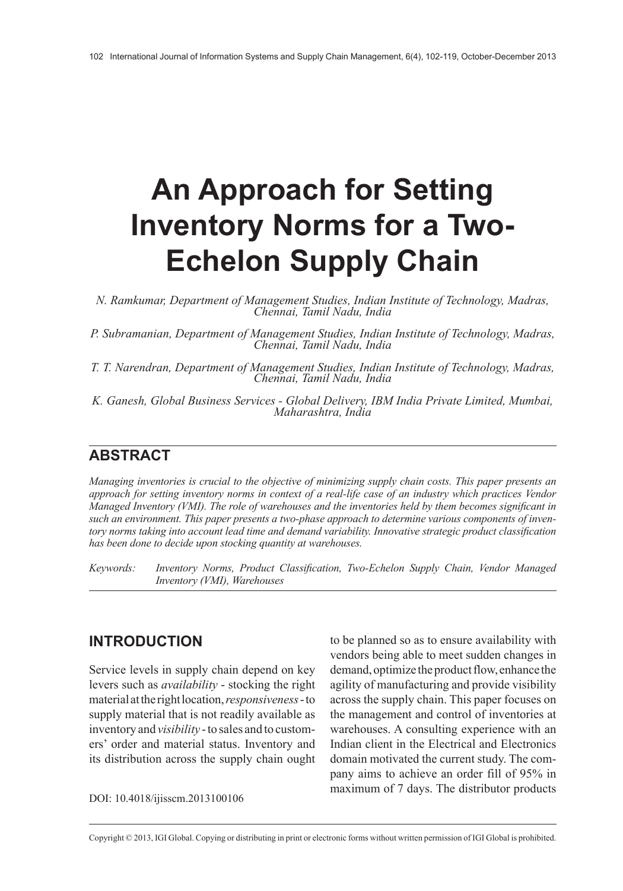# **An Approach for Setting Inventory Norms for a Two-Echelon Supply Chain**

*N. Ramkumar, Department of Management Studies, Indian Institute of Technology, Madras, Chennai, Tamil Nadu, India*

*P. Subramanian, Department of Management Studies, Indian Institute of Technology, Madras, Chennai, Tamil Nadu, India*

*T. T. Narendran, Department of Management Studies, Indian Institute of Technology, Madras, Chennai, Tamil Nadu, India*

*K. Ganesh, Global Business Services - Global Delivery, IBM India Private Limited, Mumbai, Maharashtra, India*

# **ABSTRACT**

*Managing inventories is crucial to the objective of minimizing supply chain costs. This paper presents an approach for setting inventory norms in context of a real-life case of an industry which practices Vendor Managed Inventory (VMI). The role of warehouses and the inventories held by them becomes significant in such an environment. This paper presents a two-phase approach to determine various components of inventory norms taking into account lead time and demand variability. Innovative strategic product classification has been done to decide upon stocking quantity at warehouses.*

*Keywords: Inventory Norms, Product Classification, Two-Echelon Supply Chain, Vendor Managed Inventory (VMI), Warehouses*

#### **INTRODUCTION**

Service levels in supply chain depend on key levers such as *availability* - stocking the right material at the right location, *responsiveness* - to supply material that is not readily available as inventory and *visibility* - to sales and to customers' order and material status. Inventory and its distribution across the supply chain ought

to be planned so as to ensure availability with vendors being able to meet sudden changes in demand, optimize the product flow, enhance the agility of manufacturing and provide visibility across the supply chain. This paper focuses on the management and control of inventories at warehouses. A consulting experience with an Indian client in the Electrical and Electronics domain motivated the current study. The company aims to achieve an order fill of 95% in maximum of 7 days. The distributor products DOI: 10.4018/ijisscm.2013100106

Copyright © 2013, IGI Global. Copying or distributing in print or electronic forms without written permission of IGI Global is prohibited.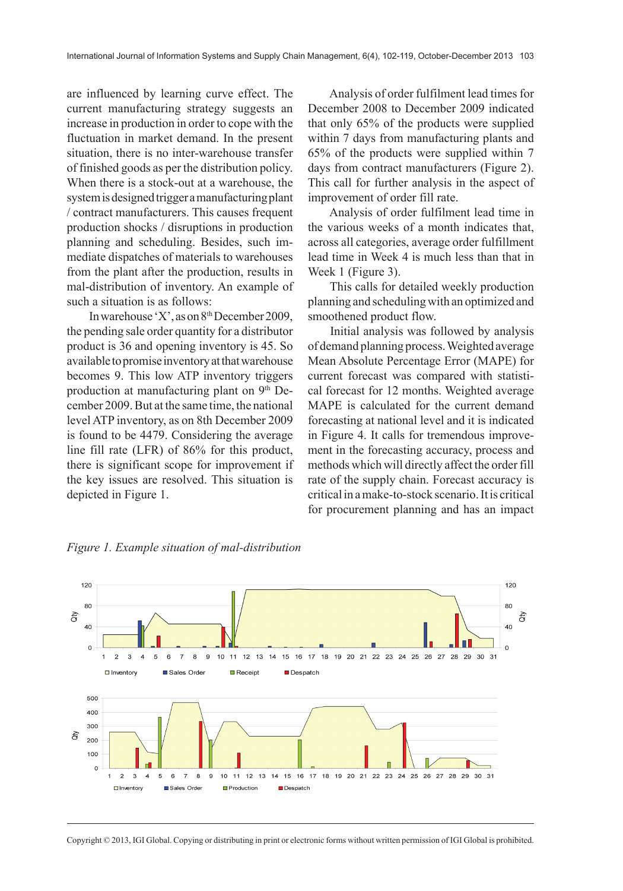are influenced by learning curve effect. The current manufacturing strategy suggests an increase in production in order to cope with the fluctuation in market demand. In the present situation, there is no inter-warehouse transfer of finished goods as per the distribution policy. When there is a stock-out at a warehouse, the system is designed trigger a manufacturing plant / contract manufacturers. This causes frequent production shocks / disruptions in production planning and scheduling. Besides, such immediate dispatches of materials to warehouses from the plant after the production, results in mal-distribution of inventory. An example of such a situation is as follows:

In warehouse 'X', as on 8th December 2009, the pending sale order quantity for a distributor product is 36 and opening inventory is 45. So available to promise inventory at that warehouse becomes 9. This low ATP inventory triggers production at manufacturing plant on 9th December 2009. But at the same time, the national level ATP inventory, as on 8th December 2009 is found to be 4479. Considering the average line fill rate (LFR) of 86% for this product, there is significant scope for improvement if the key issues are resolved. This situation is depicted in Figure 1.

Analysis of order fulfilment lead times for December 2008 to December 2009 indicated that only 65% of the products were supplied within 7 days from manufacturing plants and 65% of the products were supplied within 7 days from contract manufacturers (Figure 2). This call for further analysis in the aspect of improvement of order fill rate.

Analysis of order fulfilment lead time in the various weeks of a month indicates that, across all categories, average order fulfillment lead time in Week 4 is much less than that in Week 1 (Figure 3).

This calls for detailed weekly production planning and scheduling with an optimized and smoothened product flow.

Initial analysis was followed by analysis of demand planning process. Weighted average Mean Absolute Percentage Error (MAPE) for current forecast was compared with statistical forecast for 12 months. Weighted average MAPE is calculated for the current demand forecasting at national level and it is indicated in Figure 4. It calls for tremendous improvement in the forecasting accuracy, process and methods which will directly affect the order fill rate of the supply chain. Forecast accuracy is critical in a make-to-stock scenario. It is critical for procurement planning and has an impact



*Figure 1. Example situation of mal-distribution*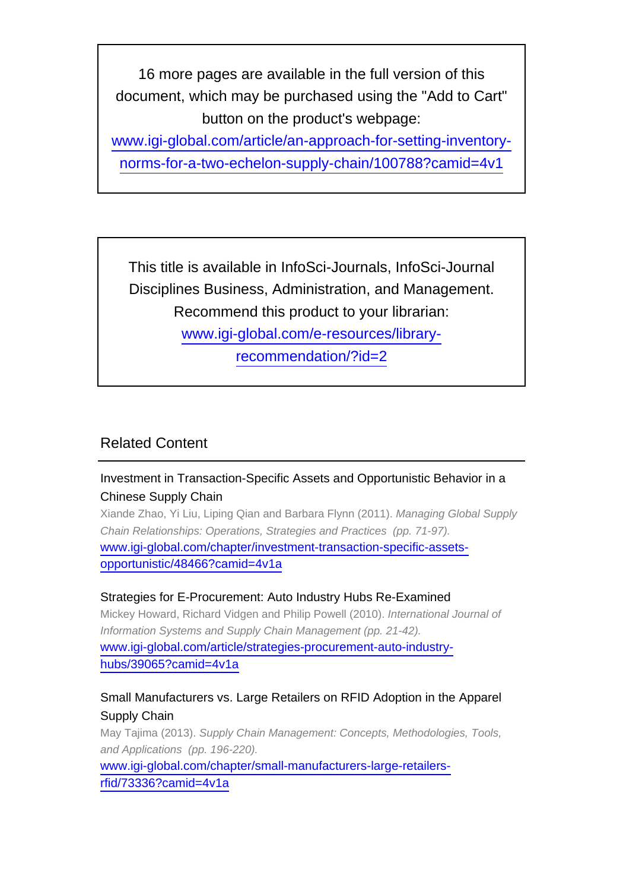16 more pages are available in the full version of this document, which may be purchased using the "Add to Cart" button on the product's webpage:

[www.igi-global.com/article/an-approach-for-setting-inventory](http://www.igi-global.com/article/an-approach-for-setting-inventory-norms-for-a-two-echelon-supply-chain/100788?camid=4v1)[norms-for-a-two-echelon-supply-chain/100788?camid=4v1](http://www.igi-global.com/article/an-approach-for-setting-inventory-norms-for-a-two-echelon-supply-chain/100788?camid=4v1)

This title is available in InfoSci-Journals, InfoSci-Journal Disciplines Business, Administration, and Management. Recommend this product to your librarian: [www.igi-global.com/e-resources/library](http://www.igi-global.com/e-resources/library-recommendation/?id=2)[recommendation/?id=2](http://www.igi-global.com/e-resources/library-recommendation/?id=2)

# Related Content

# Investment in Transaction-Specific Assets and Opportunistic Behavior in a Chinese Supply Chain

Xiande Zhao, Yi Liu, Liping Qian and Barbara Flynn (2011). Managing Global Supply Chain Relationships: Operations, Strategies and Practices (pp. 71-97). [www.igi-global.com/chapter/investment-transaction-specific-assets](http://www.igi-global.com/chapter/investment-transaction-specific-assets-opportunistic/48466?camid=4v1a)[opportunistic/48466?camid=4v1a](http://www.igi-global.com/chapter/investment-transaction-specific-assets-opportunistic/48466?camid=4v1a)

#### Strategies for E-Procurement: Auto Industry Hubs Re-Examined

Mickey Howard, Richard Vidgen and Philip Powell (2010). International Journal of Information Systems and Supply Chain Management (pp. 21-42). [www.igi-global.com/article/strategies-procurement-auto-industry](http://www.igi-global.com/article/strategies-procurement-auto-industry-hubs/39065?camid=4v1a)[hubs/39065?camid=4v1a](http://www.igi-global.com/article/strategies-procurement-auto-industry-hubs/39065?camid=4v1a)

### Small Manufacturers vs. Large Retailers on RFID Adoption in the Apparel Supply Chain

May Tajima (2013). Supply Chain Management: Concepts, Methodologies, Tools, and Applications (pp. 196-220).

[www.igi-global.com/chapter/small-manufacturers-large-retailers](http://www.igi-global.com/chapter/small-manufacturers-large-retailers-rfid/73336?camid=4v1a)[rfid/73336?camid=4v1a](http://www.igi-global.com/chapter/small-manufacturers-large-retailers-rfid/73336?camid=4v1a)